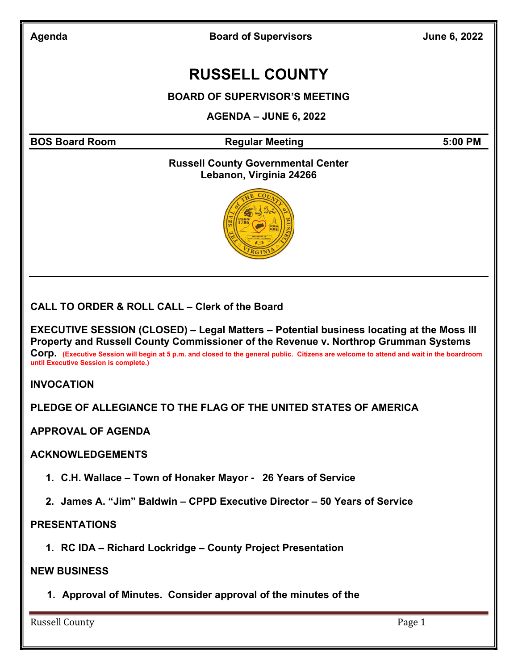Agenda **Board of Supervisors** June 6, 2022

# RUSSELL COUNTY

BOARD OF SUPERVISOR'S MEETING

AGENDA – JUNE 6, 2022

BOS Board Room **Regular Meeting 6:00 PM** Regular Meeting

#### Russell County Governmental Center Lebanon, Virginia 24266



CALL TO ORDER & ROLL CALL – Clerk of the Board

EXECUTIVE SESSION (CLOSED) – Legal Matters – Potential business locating at the Moss III Property and Russell County Commissioner of the Revenue v. Northrop Grumman Systems

Corp. (Executive Session will begin at 5 p.m. and closed to the general public. Citizens are welcome to attend and wait in the boardroom until Executive Session is complete.)

INVOCATION

PLEDGE OF ALLEGIANCE TO THE FLAG OF THE UNITED STATES OF AMERICA

APPROVAL OF AGENDA

#### ACKNOWLEDGEMENTS

- 1. C.H. Wallace Town of Honaker Mayor 26 Years of Service
- 2. James A. "Jim" Baldwin CPPD Executive Director 50 Years of Service

#### **PRESENTATIONS**

1. RC IDA – Richard Lockridge – County Project Presentation

#### NEW BUSINESS

1. Approval of Minutes. Consider approval of the minutes of the

Russell County **Page 1**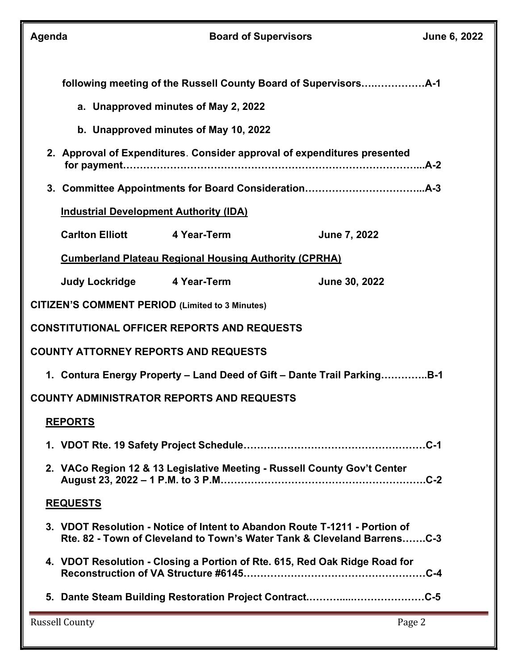| Agenda                                                                  |                                                                                                                                                       |  | <b>Board of Supervisors</b>                                                | June 6, 2022 |  |
|-------------------------------------------------------------------------|-------------------------------------------------------------------------------------------------------------------------------------------------------|--|----------------------------------------------------------------------------|--------------|--|
|                                                                         |                                                                                                                                                       |  |                                                                            |              |  |
|                                                                         | a. Unapproved minutes of May 2, 2022                                                                                                                  |  |                                                                            |              |  |
|                                                                         | b. Unapproved minutes of May 10, 2022                                                                                                                 |  |                                                                            |              |  |
|                                                                         | 2. Approval of Expenditures. Consider approval of expenditures presented                                                                              |  |                                                                            |              |  |
|                                                                         |                                                                                                                                                       |  |                                                                            |              |  |
| <b>Industrial Development Authority (IDA)</b>                           |                                                                                                                                                       |  |                                                                            |              |  |
|                                                                         | <b>Carlton Elliott 4 Year-Term</b>                                                                                                                    |  | June 7, 2022                                                               |              |  |
| <b>Cumberland Plateau Regional Housing Authority (CPRHA)</b>            |                                                                                                                                                       |  |                                                                            |              |  |
|                                                                         | Judy Lockridge 4 Year-Term                                                                                                                            |  | June 30, 2022                                                              |              |  |
| <b>CITIZEN'S COMMENT PERIOD (Limited to 3 Minutes)</b>                  |                                                                                                                                                       |  |                                                                            |              |  |
|                                                                         | <b>CONSTITUTIONAL OFFICER REPORTS AND REQUESTS</b>                                                                                                    |  |                                                                            |              |  |
| <b>COUNTY ATTORNEY REPORTS AND REQUESTS</b>                             |                                                                                                                                                       |  |                                                                            |              |  |
| 1. Contura Energy Property - Land Deed of Gift - Dante Trail ParkingB-1 |                                                                                                                                                       |  |                                                                            |              |  |
| COUNTY ADMINISTRATOR REPORTS AND REQUESTS                               |                                                                                                                                                       |  |                                                                            |              |  |
| <b>REPORTS</b>                                                          |                                                                                                                                                       |  |                                                                            |              |  |
|                                                                         |                                                                                                                                                       |  |                                                                            |              |  |
|                                                                         | 2. VACo Region 12 & 13 Legislative Meeting - Russell County Gov't Center<br>$.C-2$                                                                    |  |                                                                            |              |  |
| <b>REQUESTS</b>                                                         |                                                                                                                                                       |  |                                                                            |              |  |
|                                                                         | 3. VDOT Resolution - Notice of Intent to Abandon Route T-1211 - Portion of<br>Rte. 82 - Town of Cleveland to Town's Water Tank & Cleveland BarrensC-3 |  |                                                                            |              |  |
|                                                                         |                                                                                                                                                       |  | 4. VDOT Resolution - Closing a Portion of Rte. 615, Red Oak Ridge Road for |              |  |
|                                                                         |                                                                                                                                                       |  |                                                                            |              |  |
|                                                                         | <b>Russell County</b>                                                                                                                                 |  |                                                                            | Page 2       |  |